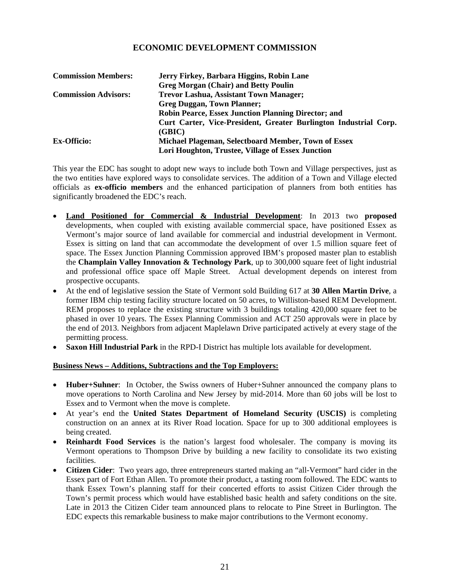## **2013**

## **ECONOMIC DEVELOPMENT COMMISSION**

| <b>Commission Members:</b>  | Jerry Firkey, Barbara Higgins, Robin Lane                        |
|-----------------------------|------------------------------------------------------------------|
|                             | <b>Greg Morgan (Chair) and Betty Poulin</b>                      |
| <b>Commission Advisors:</b> | <b>Trevor Lashua, Assistant Town Manager;</b>                    |
|                             | <b>Greg Duggan, Town Planner;</b>                                |
|                             | <b>Robin Pearce, Essex Junction Planning Director; and</b>       |
|                             | Curt Carter, Vice-President, Greater Burlington Industrial Corp. |
|                             | (GBIC)                                                           |
| <b>Ex-Officio:</b>          | Michael Plageman, Selectboard Member, Town of Essex              |
|                             | Lori Houghton, Trustee, Village of Essex Junction                |

This year the EDC has sought to adopt new ways to include both Town and Village perspectives, just as the two entities have explored ways to consolidate services. The addition of a Town and Village elected officials as **ex-officio members** and the enhanced participation of planners from both entities has significantly broadened the EDC's reach.

- **Land Positioned for Commercial & Industrial Development**: In 2013 two **proposed** developments, when coupled with existing available commercial space, have positioned Essex as Vermont's major source of land available for commercial and industrial development in Vermont. Essex is sitting on land that can accommodate the development of over 1.5 million square feet of space. The Essex Junction Planning Commission approved IBM's proposed master plan to establish the **Champlain Valley Innovation & Technology Park**, up to 300,000 square feet of light industrial and professional office space off Maple Street. Actual development depends on interest from prospective occupants.
- At the end of legislative session the State of Vermont sold Building 617 at **30 Allen Martin Drive**, a former IBM chip testing facility structure located on 50 acres, to Williston-based REM Development. REM proposes to replace the existing structure with 3 buildings totaling 420,000 square feet to be phased in over 10 years. The Essex Planning Commission and ACT 250 approvals were in place by the end of 2013. Neighbors from adjacent Maplelawn Drive participated actively at every stage of the permitting process.
- **Saxon Hill Industrial Park** in the RPD-I District has multiple lots available for development.

## **Business News – Additions, Subtractions and the Top Employers:**

- **Huber+Suhner**: In October, the Swiss owners of Huber+Suhner announced the company plans to move operations to North Carolina and New Jersey by mid-2014. More than 60 jobs will be lost to Essex and to Vermont when the move is complete.
- At year's end the **United States Department of Homeland Security (USCIS)** is completing construction on an annex at its River Road location. Space for up to 300 additional employees is being created.
- **Reinhardt Food Services** is the nation's largest food wholesaler. The company is moving its Vermont operations to Thompson Drive by building a new facility to consolidate its two existing facilities.
- **Citizen Cider**: Two years ago, three entrepreneurs started making an "all-Vermont" hard cider in the Essex part of Fort Ethan Allen. To promote their product, a tasting room followed. The EDC wants to thank Essex Town's planning staff for their concerted efforts to assist Citizen Cider through the Town's permit process which would have established basic health and safety conditions on the site. Late in 2013 the Citizen Cider team announced plans to relocate to Pine Street in Burlington. The EDC expects this remarkable business to make major contributions to the Vermont economy.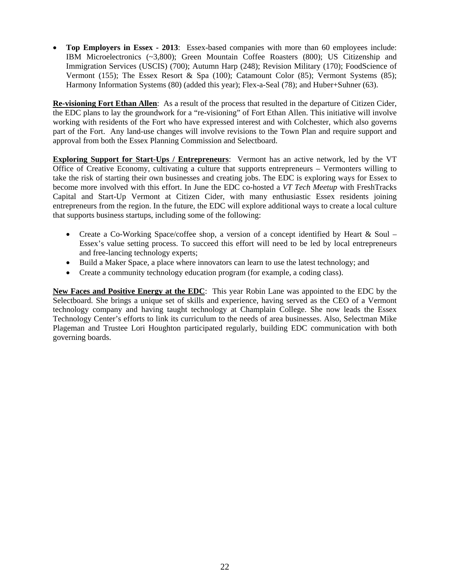• **Top Employers in Essex - 2013**: Essex-based companies with more than 60 employees include: IBM Microelectronics (~3,800); Green Mountain Coffee Roasters (800); US Citizenship and Immigration Services (USCIS) (700); Autumn Harp (248); Revision Military (170); FoodScience of Vermont (155); The Essex Resort & Spa (100); Catamount Color (85); Vermont Systems (85); Harmony Information Systems (80) (added this year); Flex-a-Seal (78); and Huber+Suhner (63).

**Re-visioning Fort Ethan Allen**: As a result of the process that resulted in the departure of Citizen Cider, the EDC plans to lay the groundwork for a "re-visioning" of Fort Ethan Allen. This initiative will involve working with residents of the Fort who have expressed interest and with Colchester, which also governs part of the Fort. Any land-use changes will involve revisions to the Town Plan and require support and approval from both the Essex Planning Commission and Selectboard.

**Exploring Support for Start-Ups / Entrepreneurs**: Vermont has an active network, led by the VT Office of Creative Economy, cultivating a culture that supports entrepreneurs – Vermonters willing to take the risk of starting their own businesses and creating jobs. The EDC is exploring ways for Essex to become more involved with this effort. In June the EDC co-hosted a *VT Tech Meetup* with FreshTracks Capital and Start-Up Vermont at Citizen Cider, with many enthusiastic Essex residents joining entrepreneurs from the region. In the future, the EDC will explore additional ways to create a local culture that supports business startups, including some of the following:

- Create a Co-Working Space/coffee shop, a version of a concept identified by Heart  $\&$  Soul Essex's value setting process. To succeed this effort will need to be led by local entrepreneurs and free-lancing technology experts;
- Build a Maker Space, a place where innovators can learn to use the latest technology; and
- Create a community technology education program (for example, a coding class).

**New Faces and Positive Energy at the EDC**: This year Robin Lane was appointed to the EDC by the Selectboard. She brings a unique set of skills and experience, having served as the CEO of a Vermont technology company and having taught technology at Champlain College. She now leads the Essex Technology Center's efforts to link its curriculum to the needs of area businesses. Also, Selectman Mike Plageman and Trustee Lori Houghton participated regularly, building EDC communication with both governing boards.